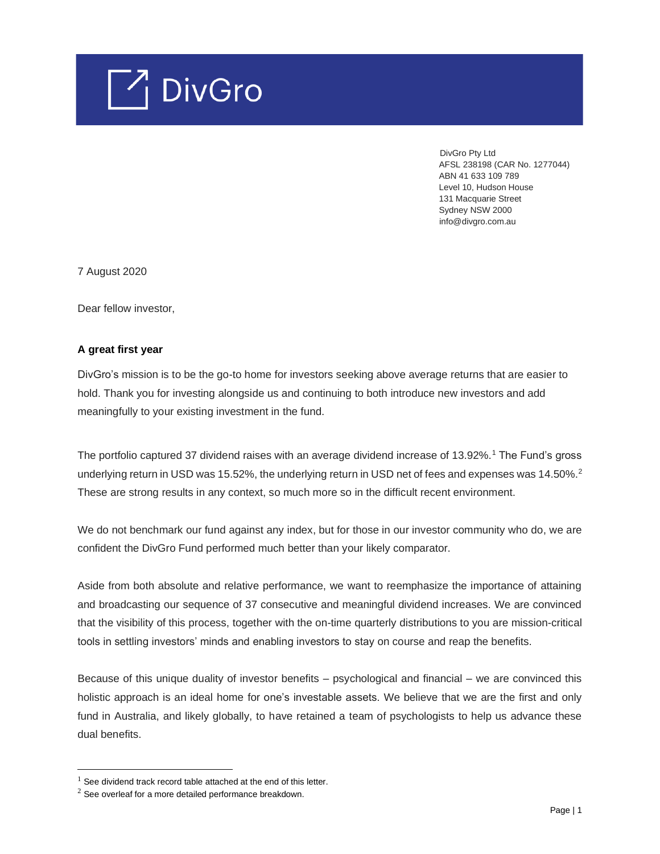

 DivGro Pty Ltd AFSL 238198 (CAR No. 1277044) ABN 41 633 109 789 Level 10, Hudson House 131 Macquarie Street Sydney NSW 2000 info@divgro.com.au

7 August 2020

Dear fellow investor,

#### **A great first year**

DivGro's mission is to be the go-to home for investors seeking above average returns that are easier to hold. Thank you for investing alongside us and continuing to both introduce new investors and add meaningfully to your existing investment in the fund.

The portfolio captured 37 dividend raises with an average dividend increase of 13.92%.<sup>1</sup> The Fund's gross underlying return in USD was 15.52%, the underlying return in USD net of fees and expenses was 14.50%.<sup>2</sup> These are strong results in any context, so much more so in the difficult recent environment.

We do not benchmark our fund against any index, but for those in our investor community who do, we are confident the DivGro Fund performed much better than your likely comparator.

Aside from both absolute and relative performance, we want to reemphasize the importance of attaining and broadcasting our sequence of 37 consecutive and meaningful dividend increases. We are convinced that the visibility of this process, together with the on-time quarterly distributions to you are mission-critical tools in settling investors' minds and enabling investors to stay on course and reap the benefits.

Because of this unique duality of investor benefits – psychological and financial – we are convinced this holistic approach is an ideal home for one's investable assets. We believe that we are the first and only fund in Australia, and likely globally, to have retained a team of psychologists to help us advance these dual benefits.

 $1$  See dividend track record table attached at the end of this letter.

 $2$  See overleaf for a more detailed performance breakdown.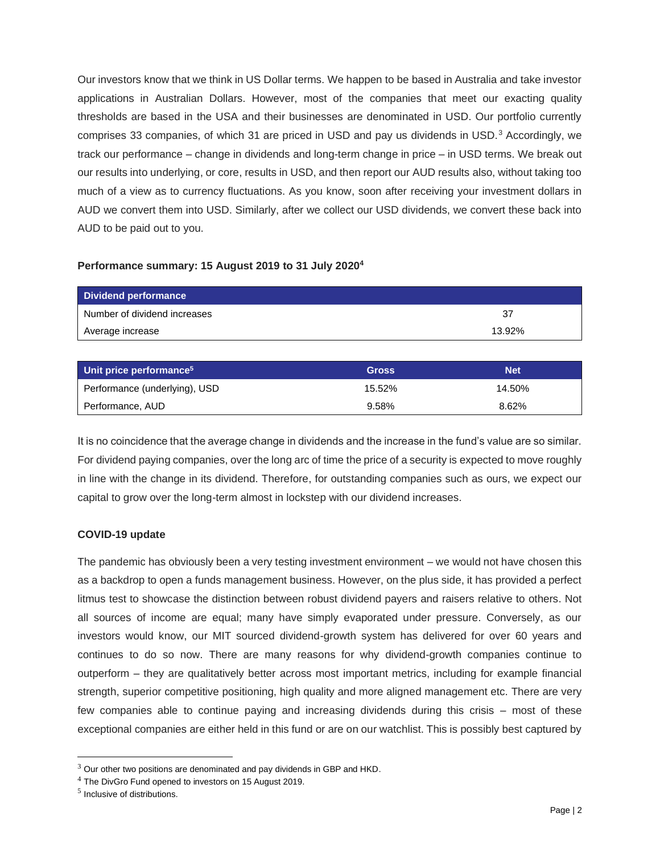Our investors know that we think in US Dollar terms. We happen to be based in Australia and take investor applications in Australian Dollars. However, most of the companies that meet our exacting quality thresholds are based in the USA and their businesses are denominated in USD. Our portfolio currently comprises 33 companies, of which 31 are priced in USD and pay us dividends in USD.<sup>3</sup> Accordingly, we track our performance – change in dividends and long-term change in price – in USD terms. We break out our results into underlying, or core, results in USD, and then report our AUD results also, without taking too much of a view as to currency fluctuations. As you know, soon after receiving your investment dollars in AUD we convert them into USD. Similarly, after we collect our USD dividends, we convert these back into AUD to be paid out to you.

#### **Performance summary: 15 August 2019 to 31 July 2020<sup>4</sup>**

| <b>Dividend performance</b>  |        |
|------------------------------|--------|
| Number of dividend increases | 37     |
| Average increase             | 13.92% |

| Unit price performance <sup>5</sup> | <b>Gross</b> | <b>Net</b> |
|-------------------------------------|--------------|------------|
| Performance (underlying), USD       | 15.52%       | 14.50%     |
| Performance, AUD                    | 9.58%        | 8.62%      |

It is no coincidence that the average change in dividends and the increase in the fund's value are so similar. For dividend paying companies, over the long arc of time the price of a security is expected to move roughly in line with the change in its dividend. Therefore, for outstanding companies such as ours, we expect our capital to grow over the long-term almost in lockstep with our dividend increases.

# **COVID-19 update**

The pandemic has obviously been a very testing investment environment – we would not have chosen this as a backdrop to open a funds management business. However, on the plus side, it has provided a perfect litmus test to showcase the distinction between robust dividend payers and raisers relative to others. Not all sources of income are equal; many have simply evaporated under pressure. Conversely, as our investors would know, our MIT sourced dividend-growth system has delivered for over 60 years and continues to do so now. There are many reasons for why dividend-growth companies continue to outperform – they are qualitatively better across most important metrics, including for example financial strength, superior competitive positioning, high quality and more aligned management etc. There are very few companies able to continue paying and increasing dividends during this crisis – most of these exceptional companies are either held in this fund or are on our watchlist. This is possibly best captured by

 $3$  Our other two positions are denominated and pay dividends in GBP and HKD.

<sup>&</sup>lt;sup>4</sup> The DivGro Fund opened to investors on 15 August 2019.

 $<sup>5</sup>$  Inclusive of distributions.</sup>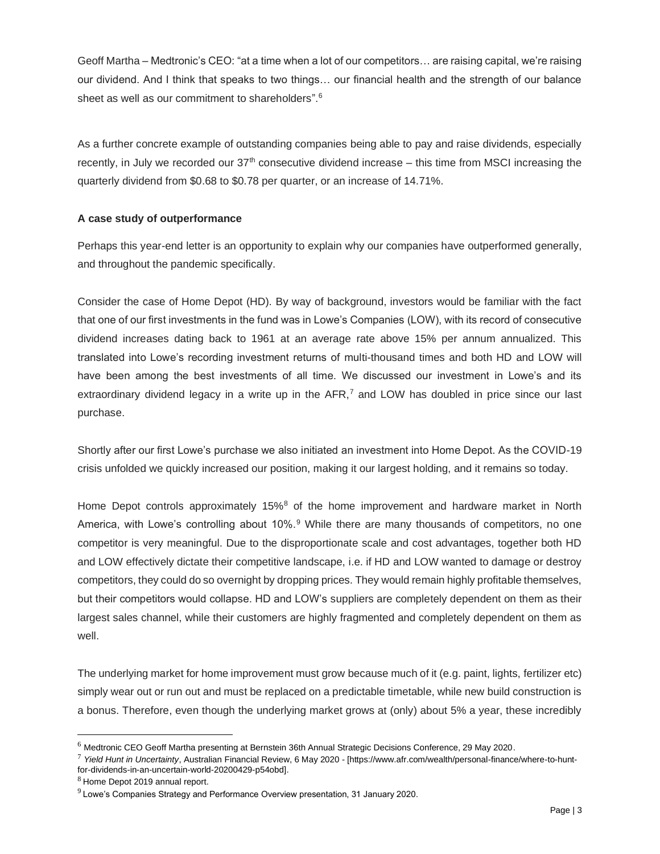Geoff Martha – Medtronic's CEO: "at a time when a lot of our competitors… are raising capital, we're raising our dividend. And I think that speaks to two things… our financial health and the strength of our balance sheet as well as our commitment to shareholders".<sup>6</sup>

As a further concrete example of outstanding companies being able to pay and raise dividends, especially recently, in July we recorded our  $37<sup>th</sup>$  consecutive dividend increase – this time from MSCI increasing the quarterly dividend from \$0.68 to \$0.78 per quarter, or an increase of 14.71%.

# **A case study of outperformance**

Perhaps this year-end letter is an opportunity to explain why our companies have outperformed generally, and throughout the pandemic specifically.

Consider the case of Home Depot (HD). By way of background, investors would be familiar with the fact that one of our first investments in the fund was in Lowe's Companies (LOW), with its record of consecutive dividend increases dating back to 1961 at an average rate above 15% per annum annualized. This translated into Lowe's recording investment returns of multi-thousand times and both HD and LOW will have been among the best investments of all time. We discussed our investment in Lowe's and its extraordinary dividend legacy in a write up in the  $AFR$ ,<sup> $7$ </sup> and LOW has doubled in price since our last purchase.

Shortly after our first Lowe's purchase we also initiated an investment into Home Depot. As the COVID-19 crisis unfolded we quickly increased our position, making it our largest holding, and it remains so today.

Home Depot controls approximately  $15\%$ <sup>8</sup> of the home improvement and hardware market in North America, with Lowe's controlling about 10%.<sup>9</sup> While there are many thousands of competitors, no one competitor is very meaningful. Due to the disproportionate scale and cost advantages, together both HD and LOW effectively dictate their competitive landscape, i.e. if HD and LOW wanted to damage or destroy competitors, they could do so overnight by dropping prices. They would remain highly profitable themselves, but their competitors would collapse. HD and LOW's suppliers are completely dependent on them as their largest sales channel, while their customers are highly fragmented and completely dependent on them as well.

The underlying market for home improvement must grow because much of it (e.g. paint, lights, fertilizer etc) simply wear out or run out and must be replaced on a predictable timetable, while new build construction is a bonus. Therefore, even though the underlying market grows at (only) about 5% a year, these incredibly

<sup>6</sup> Medtronic CEO Geoff Martha presenting at Bernstein 36th Annual Strategic Decisions Conference, 29 May 2020.

<sup>7</sup> *Yield Hunt in Uncertainty*, Australian Financial Review, 6 May 2020 - [\[https://www.afr.com/wealth/personal-finance/where-to-hunt](https://www.afr.com/wealth/personal-finance/where-to-hunt-for-dividends-in-an-uncertain-world-20200429-p54obd)[for-dividends-in-an-uncertain-world-20200429-p54obd\]](https://www.afr.com/wealth/personal-finance/where-to-hunt-for-dividends-in-an-uncertain-world-20200429-p54obd).

<sup>8</sup> Home Depot 2019 annual report.

 $9$  Lowe's Companies Strategy and Performance Overview presentation, 31 January 2020.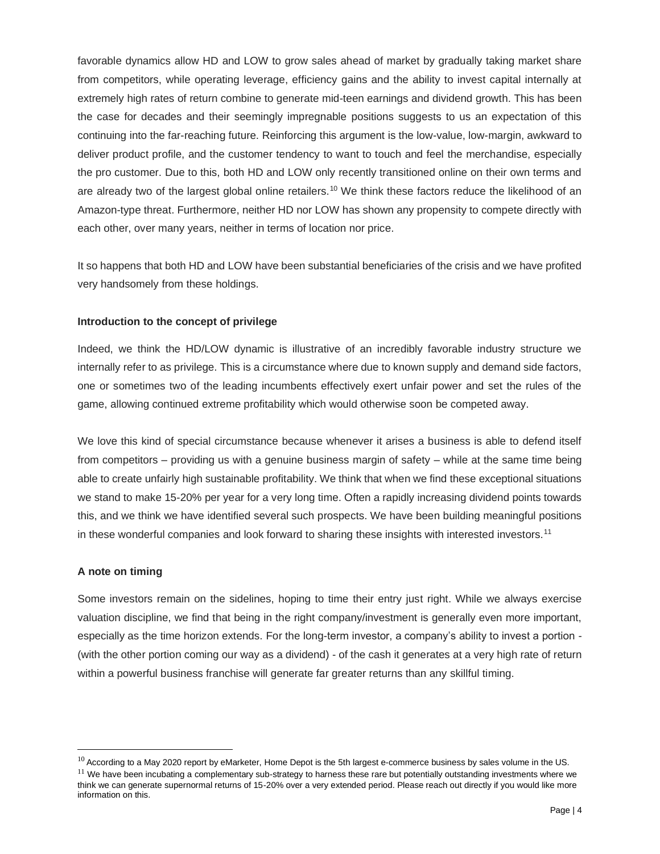favorable dynamics allow HD and LOW to grow sales ahead of market by gradually taking market share from competitors, while operating leverage, efficiency gains and the ability to invest capital internally at extremely high rates of return combine to generate mid-teen earnings and dividend growth. This has been the case for decades and their seemingly impregnable positions suggests to us an expectation of this continuing into the far-reaching future. Reinforcing this argument is the low-value, low-margin, awkward to deliver product profile, and the customer tendency to want to touch and feel the merchandise, especially the pro customer. Due to this, both HD and LOW only recently transitioned online on their own terms and are already two of the largest global online retailers.<sup>10</sup> We think these factors reduce the likelihood of an Amazon-type threat. Furthermore, neither HD nor LOW has shown any propensity to compete directly with each other, over many years, neither in terms of location nor price.

It so happens that both HD and LOW have been substantial beneficiaries of the crisis and we have profited very handsomely from these holdings.

#### **Introduction to the concept of privilege**

Indeed, we think the HD/LOW dynamic is illustrative of an incredibly favorable industry structure we internally refer to as privilege. This is a circumstance where due to known supply and demand side factors, one or sometimes two of the leading incumbents effectively exert unfair power and set the rules of the game, allowing continued extreme profitability which would otherwise soon be competed away.

We love this kind of special circumstance because whenever it arises a business is able to defend itself from competitors – providing us with a genuine business margin of safety – while at the same time being able to create unfairly high sustainable profitability. We think that when we find these exceptional situations we stand to make 15-20% per year for a very long time. Often a rapidly increasing dividend points towards this, and we think we have identified several such prospects. We have been building meaningful positions in these wonderful companies and look forward to sharing these insights with interested investors.<sup>11</sup>

# **A note on timing**

Some investors remain on the sidelines, hoping to time their entry just right. While we always exercise valuation discipline, we find that being in the right company/investment is generally even more important, especially as the time horizon extends. For the long-term investor, a company's ability to invest a portion - (with the other portion coming our way as a dividend) - of the cash it generates at a very high rate of return within a powerful business franchise will generate far greater returns than any skillful timing.

 $10$  According to a May 2020 report by eMarketer, Home Depot is the 5th largest e-commerce business by sales volume in the US.

 $11$  We have been incubating a complementary sub-strategy to harness these rare but potentially outstanding investments where we think we can generate supernormal returns of 15-20% over a very extended period. Please reach out directly if you would like more information on this.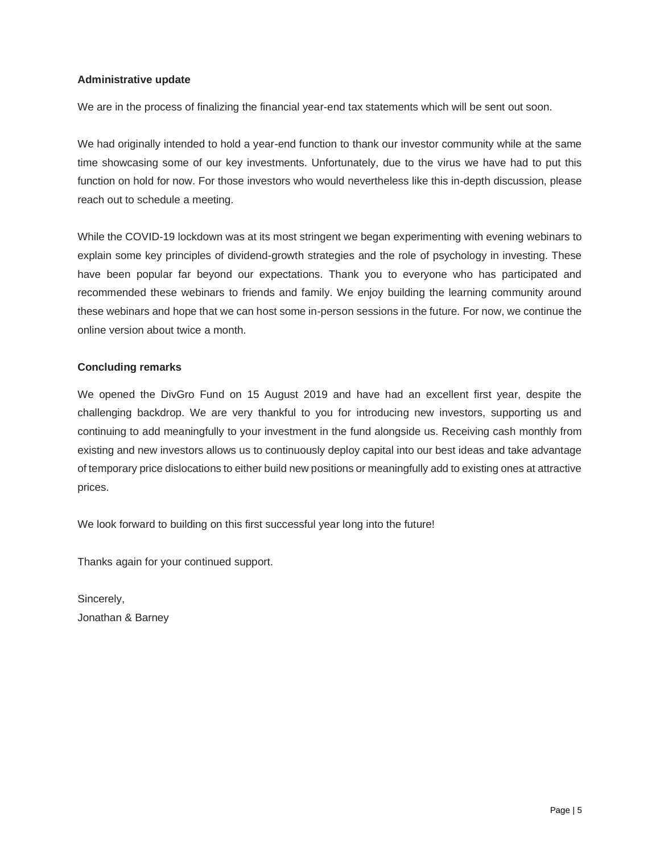## **Administrative update**

We are in the process of finalizing the financial year-end tax statements which will be sent out soon.

We had originally intended to hold a year-end function to thank our investor community while at the same time showcasing some of our key investments. Unfortunately, due to the virus we have had to put this function on hold for now. For those investors who would nevertheless like this in-depth discussion, please reach out to schedule a meeting.

While the COVID-19 lockdown was at its most stringent we began experimenting with evening webinars to explain some key principles of dividend-growth strategies and the role of psychology in investing. These have been popular far beyond our expectations. Thank you to everyone who has participated and recommended these webinars to friends and family. We enjoy building the learning community around these webinars and hope that we can host some in-person sessions in the future. For now, we continue the online version about twice a month.

### **Concluding remarks**

We opened the DivGro Fund on 15 August 2019 and have had an excellent first year, despite the challenging backdrop. We are very thankful to you for introducing new investors, supporting us and continuing to add meaningfully to your investment in the fund alongside us. Receiving cash monthly from existing and new investors allows us to continuously deploy capital into our best ideas and take advantage of temporary price dislocations to either build new positions or meaningfully add to existing ones at attractive prices.

We look forward to building on this first successful year long into the future!

Thanks again for your continued support.

Sincerely, Jonathan & Barney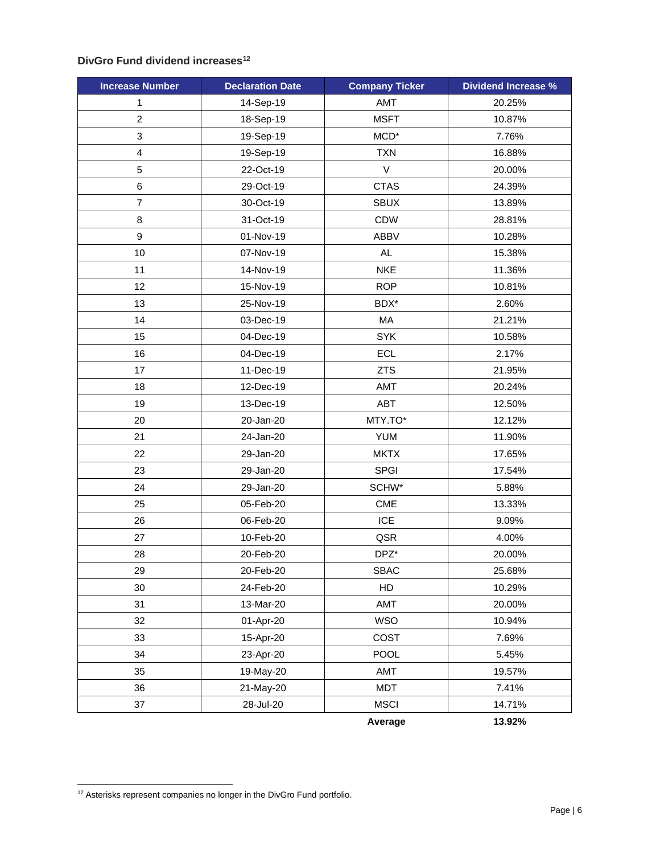# **DivGro Fund dividend increases<sup>12</sup>**

| <b>Increase Number</b> | <b>Declaration Date</b> | <b>Company Ticker</b> | <b>Dividend Increase %</b> |
|------------------------|-------------------------|-----------------------|----------------------------|
| 1                      | 14-Sep-19               | AMT                   | 20.25%                     |
| $\overline{a}$         | 18-Sep-19               | <b>MSFT</b>           | 10.87%                     |
| 3                      | 19-Sep-19               | $MCD^*$               | 7.76%                      |
| 4                      | 19-Sep-19               | <b>TXN</b>            | 16.88%                     |
| 5                      | 22-Oct-19               | $\vee$                | 20.00%                     |
| 6                      | 29-Oct-19               | <b>CTAS</b>           | 24.39%                     |
| $\overline{7}$         | 30-Oct-19               | <b>SBUX</b>           | 13.89%                     |
| 8                      | 31-Oct-19               | CDW                   | 28.81%                     |
| 9                      | 01-Nov-19               | <b>ABBV</b>           | 10.28%                     |
| 10                     | 07-Nov-19               | <b>AL</b>             | 15.38%                     |
| 11                     | 14-Nov-19               | <b>NKE</b>            | 11.36%                     |
| 12                     | 15-Nov-19               | <b>ROP</b>            | 10.81%                     |
| 13                     | 25-Nov-19               | BDX*                  | 2.60%                      |
| 14                     | 03-Dec-19               | MA                    | 21.21%                     |
| 15                     | 04-Dec-19               | <b>SYK</b>            | 10.58%                     |
| 16                     | 04-Dec-19               | <b>ECL</b>            | 2.17%                      |
| 17                     | 11-Dec-19               | <b>ZTS</b>            | 21.95%                     |
| 18                     | 12-Dec-19               | AMT                   | 20.24%                     |
| 19                     | 13-Dec-19               | ABT                   | 12.50%                     |
| 20                     | 20-Jan-20               | MTY.TO*               | 12.12%                     |
| 21                     | 24-Jan-20               | <b>YUM</b>            | 11.90%                     |
| 22                     | 29-Jan-20               | <b>MKTX</b>           | 17.65%                     |
| 23                     | 29-Jan-20               | <b>SPGI</b>           | 17.54%                     |
| 24                     | 29-Jan-20               | SCHW*                 | 5.88%                      |
| 25                     | 05-Feb-20               | CME                   | 13.33%                     |
| 26                     | 06-Feb-20               | <b>ICE</b>            | 9.09%                      |
| 27                     | 10-Feb-20               | QSR                   | 4.00%                      |
| 28                     | 20-Feb-20               | DPZ*                  | 20.00%                     |
| 29                     | 20-Feb-20               | <b>SBAC</b>           | 25.68%                     |
| 30                     | 24-Feb-20               | HD                    | 10.29%                     |
| 31                     | 13-Mar-20               | AMT                   | 20.00%                     |
| 32                     | 01-Apr-20               | <b>WSO</b>            | 10.94%                     |
| 33                     | 15-Apr-20               | COST                  | 7.69%                      |
| 34                     | 23-Apr-20               | POOL                  | 5.45%                      |
| 35                     | 19-May-20               | AMT                   | 19.57%                     |
| 36                     | 21-May-20               | <b>MDT</b>            | 7.41%                      |
| 37                     | 28-Jul-20               | <b>MSCI</b>           | 14.71%                     |
|                        |                         | Average               | 13.92%                     |

Asterisks represent companies no longer in the DivGro Fund portfolio.